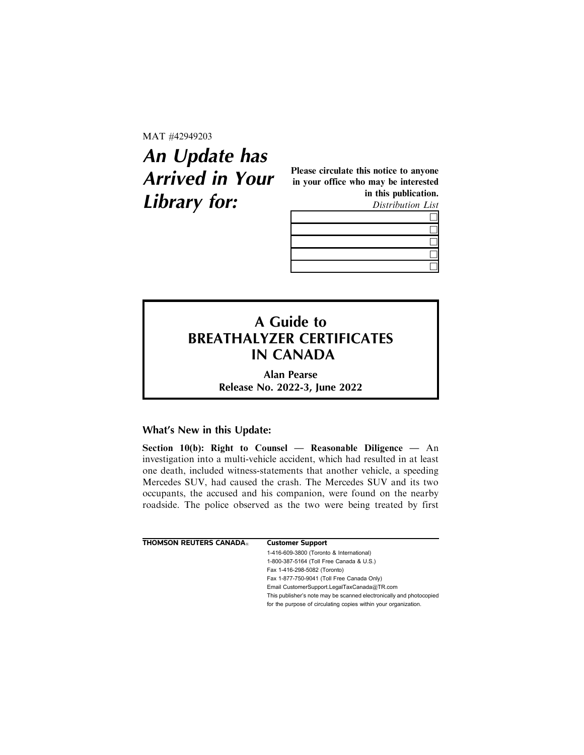MAT #42949203

## **An Update has Arrived in Your Library for:**

Please circulate this notice to anyone in your office who may be interested in this publication. Distribution List



## **A Guide to BREATHALYZER CERTIFICATES IN CANADA**

**Alan Pearse Release No. 2022-3, June 2022**

## **What's New in this Update:**

Section 10(b): Right to Counsel — Reasonable Diligence — An investigation into a multi-vehicle accident, which had resulted in at least one death, included witness-statements that another vehicle, a speeding Mercedes SUV, had caused the crash. The Mercedes SUV and its two occupants, the accused and his companion, were found on the nearby roadside. The police observed as the two were being treated by first

| THOMSON REUTERS CANADA® | <b>Customer Support</b>                                             |
|-------------------------|---------------------------------------------------------------------|
|                         | 1-416-609-3800 (Toronto & International)                            |
|                         | 1-800-387-5164 (Toll Free Canada & U.S.)                            |
|                         | Fax 1-416-298-5082 (Toronto)                                        |
|                         | Fax 1-877-750-9041 (Toll Free Canada Only)                          |
|                         | Email CustomerSupport.LegalTaxCanada@TR.com                         |
|                         | This publisher's note may be scanned electronically and photocopied |
|                         | for the purpose of circulating copies within your organization.     |
|                         |                                                                     |